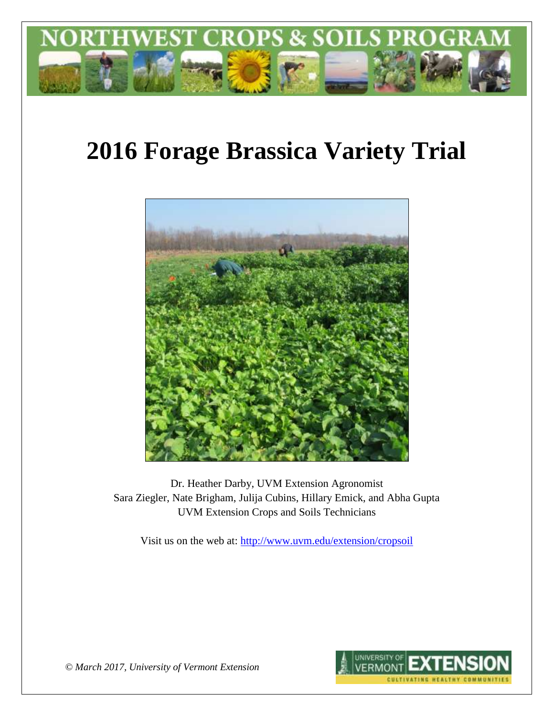

# **2016 Forage Brassica Variety Trial**



Dr. Heather Darby, UVM Extension Agronomist Sara Ziegler, Nate Brigham, Julija Cubins, Hillary Emick, and Abha Gupta UVM Extension Crops and Soils Technicians

Visit us on the web at:<http://www.uvm.edu/extension/cropsoil>



*© March 2017, University of Vermont Extension*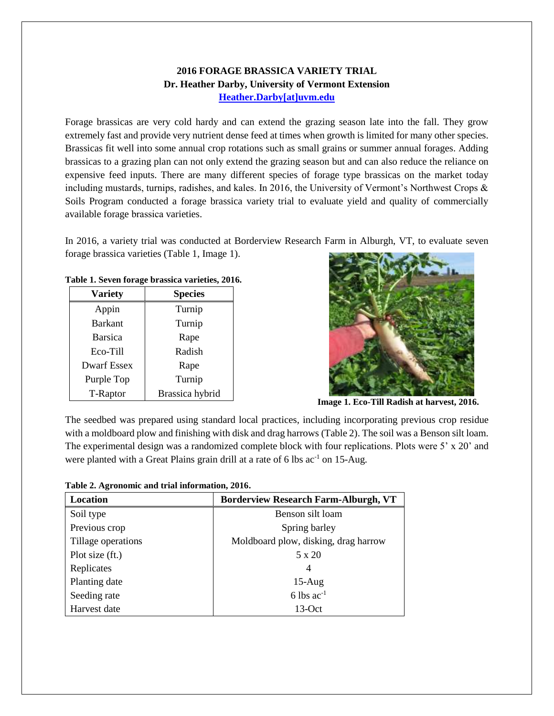## **2016 FORAGE BRASSICA VARIETY TRIAL Dr. Heather Darby, University of Vermont Extension [Heather.Darby\[at\]uvm.edu](mailto:heather.darby@uvm.edu?subject=2012%20Forage%20Brassica%20Report)**

Forage brassicas are very cold hardy and can extend the grazing season late into the fall. They grow extremely fast and provide very nutrient dense feed at times when growth is limited for many other species. Brassicas fit well into some annual crop rotations such as small grains or summer annual forages. Adding brassicas to a grazing plan can not only extend the grazing season but and can also reduce the reliance on expensive feed inputs. There are many different species of forage type brassicas on the market today including mustards, turnips, radishes, and kales. In 2016, the University of Vermont's Northwest Crops & Soils Program conducted a forage brassica variety trial to evaluate yield and quality of commercially available forage brassica varieties.

In 2016, a variety trial was conducted at Borderview Research Farm in Alburgh, VT, to evaluate seven forage brassica varieties (Table 1, Image 1).

|  |  |  |  | Table 1. Seven forage brassica varieties, 2016. |  |
|--|--|--|--|-------------------------------------------------|--|
|--|--|--|--|-------------------------------------------------|--|

| <b>Variety</b>     | <b>Species</b>  |  |
|--------------------|-----------------|--|
| Appin              | Turnip          |  |
| <b>Barkant</b>     | Turnip          |  |
| <b>Barsica</b>     | Rape            |  |
| Eco-Till           | Radish          |  |
| <b>Dwarf Essex</b> | Rape            |  |
| Purple Top         | Turnip          |  |
| T-Raptor           | Brassica hybrid |  |



**Image 1. Eco-Till Radish at harvest, 2016.**

The seedbed was prepared using standard local practices, including incorporating previous crop residue with a moldboard plow and finishing with disk and drag harrows (Table 2). The soil was a Benson silt loam. The experimental design was a randomized complete block with four replications. Plots were 5' x 20' and were planted with a Great Plains grain drill at a rate of 6 lbs  $ac^{-1}$  on 15-Aug.

**Table 2. Agronomic and trial information, 2016.**

| Location           | <b>Borderview Research Farm-Alburgh, VT</b> |  |  |
|--------------------|---------------------------------------------|--|--|
| Soil type          | Benson silt loam                            |  |  |
| Previous crop      | Spring barley                               |  |  |
| Tillage operations | Moldboard plow, disking, drag harrow        |  |  |
| Plot size (ft.)    | 5 x 20                                      |  |  |
| Replicates         | 4                                           |  |  |
| Planting date      | $15-Aug$                                    |  |  |
| Seeding rate       | 6 lbs $ac^{-1}$                             |  |  |
| Harvest date       | $13-Oct$                                    |  |  |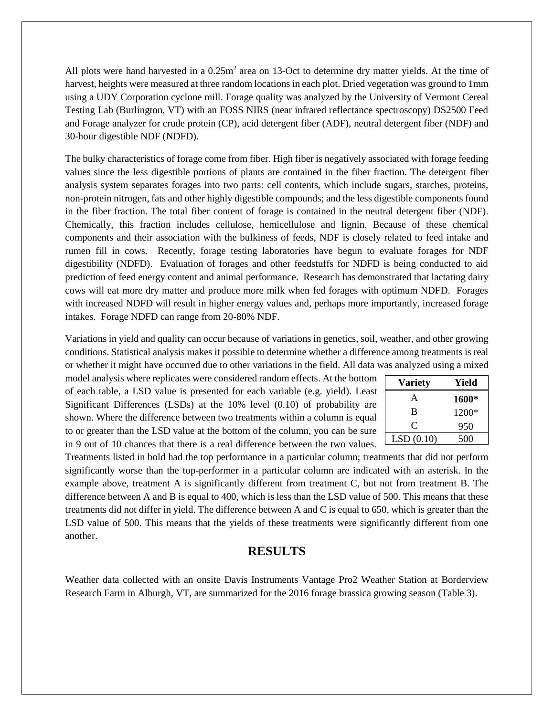All plots were hand harvested in a  $0.25m<sup>2</sup>$  area on 13-Oct to determine dry matter yields. At the time of harvest, heights were measured at three random locations in each plot. Dried vegetation was ground to 1mm using a UDY Corporation cyclone mill. Forage quality was analyzed by the University of Vermont Cereal Testing Lab (Burlington, VT) with an FOSS NIRS (near infrared reflectance spectroscopy) DS2500 Feed and Forage analyzer for crude protein (CP), acid detergent fiber (ADF), neutral detergent fiber (NDF) and 30-hour digestible NDF (NDFD).

The bulky characteristics of forage come from fiber. High fiber is negatively associated with forage feeding values since the less digestible portions of plants are contained in the fiber fraction. The detergent fiber analysis system separates forages into two parts: cell contents, which include sugars, starches, proteins, non-protein nitrogen, fats and other highly digestible compounds; and the less digestible components found in the fiber fraction. The total fiber content of forage is contained in the neutral detergent fiber (NDF). Chemically, this fraction includes cellulose, hemicellulose and lignin. Because of these chemical components and their association with the bulkiness of feeds, NDF is closely related to feed intake and rumen fill in cows. Recently, forage testing laboratories have begun to evaluate forages for NDF digestibility (NDFD). Evaluation of forages and other feedstuffs for NDFD is being conducted to aid prediction of feed energy content and animal performance. Research has demonstrated that lactating dairy cows will eat more dry matter and produce more milk when fed forages with optimum NDFD. Forages with increased NDFD will result in higher energy values and, perhaps more importantly, increased forage intakes. Forage NDFD can range from 20-80% NDF.

Variations in yield and quality can occur because of variations in genetics, soil, weather, and other growing conditions. Statistical analysis makes it possible to determine whether a difference among treatments is real or whether it might have occurred due to other variations in the field. All data was analyzed using a mixed

model analysis where replicates were considered random effects. At the bottom of each table, a LSD value is presented for each variable (e.g. yield). Least Significant Differences (LSDs) at the 10% level (0.10) of probability are shown. Where the difference between two treatments within a column is equal to or greater than the LSD value at the bottom of the column, you can be sure in 9 out of 10 chances that there is a real difference between the two values.

| <b>Variety</b> | Yield |
|----------------|-------|
| A              | 1600* |
| B              | 1200* |
| $\subset$      | 950   |
| LSD(0.10)      | 500   |

Treatments listed in bold had the top performance in a particular column; treatments that did not perform significantly worse than the top-performer in a particular column are indicated with an asterisk. In the example above, treatment A is significantly different from treatment C, but not from treatment B. The difference between A and B is equal to 400, which is less than the LSD value of 500. This means that these treatments did not differ in yield. The difference between A and C is equal to 650, which is greater than the LSD value of 500. This means that the yields of these treatments were significantly different from one another.

## **RESULTS**

Weather data collected with an onsite Davis Instruments Vantage Pro2 Weather Station at Borderview Research Farm in Alburgh, VT, are summarized for the 2016 forage brassica growing season (Table 3).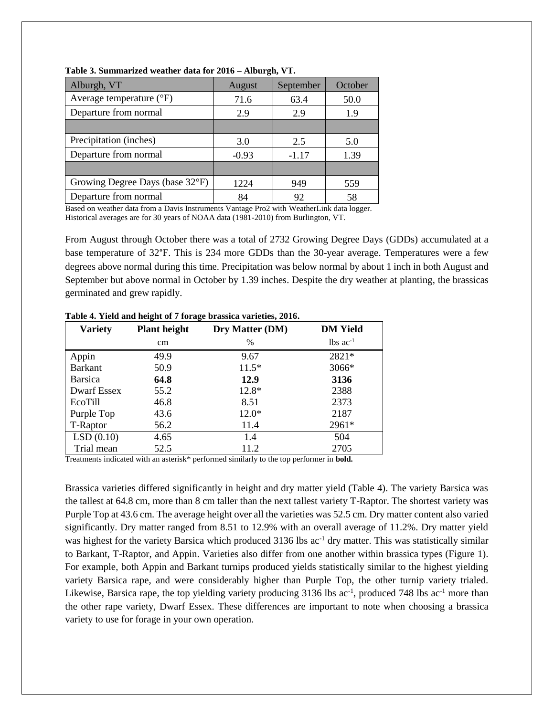| Alburgh, VT                       | August  | September | October |
|-----------------------------------|---------|-----------|---------|
| Average temperature $(^{\circ}F)$ | 71.6    | 63.4      | 50.0    |
| Departure from normal             | 2.9     | 2.9       | 1.9     |
|                                   |         |           |         |
| Precipitation (inches)            | 3.0     | 2.5       | 5.0     |
| Departure from normal             | $-0.93$ | $-1.17$   | 1.39    |
|                                   |         |           |         |
| Growing Degree Days (base 32°F)   | 1224    | 949       | 559     |
| Departure from normal             | 84      | 92        | 58      |

**Table 3. Summarized weather data for 2016 – Alburgh, VT.**

Based on weather data from a Davis Instruments Vantage Pro2 with WeatherLink data logger. Historical averages are for 30 years of NOAA data (1981-2010) from Burlington, VT.

From August through October there was a total of 2732 Growing Degree Days (GDDs) accumulated at a base temperature of 32°F. This is 234 more GDDs than the 30-year average. Temperatures were a few degrees above normal during this time. Precipitation was below normal by about 1 inch in both August and September but above normal in October by 1.39 inches. Despite the dry weather at planting, the brassicas germinated and grew rapidly.

| <b>Variety</b> | o<br>-<br><b>Plant height</b> | Dry Matter (DM) | <b>DM</b> Yield        |
|----------------|-------------------------------|-----------------|------------------------|
|                | cm                            | $\%$            | $lbs$ ac <sup>-1</sup> |
| Appin          | 49.9                          | 9.67            | 2821*                  |
| <b>Barkant</b> | 50.9                          | $11.5*$         | 3066*                  |
| <b>Barsica</b> | 64.8                          | 12.9            | 3136                   |
| Dwarf Essex    | 55.2                          | $12.8*$         | 2388                   |
| EcoTill        | 46.8                          | 8.51            | 2373                   |
| Purple Top     | 43.6                          | $12.0*$         | 2187                   |
| T-Raptor       | 56.2                          | 11.4            | 2961*                  |
| LSD(0.10)      | 4.65                          | 1.4             | 504                    |
| Trial mean     | 52.5                          | 11.2            | 2705                   |

**Table 4. Yield and height of 7 forage brassica varieties, 2016.**

Treatments indicated with an asterisk\* performed similarly to the top performer in **bold.**

Brassica varieties differed significantly in height and dry matter yield (Table 4). The variety Barsica was the tallest at 64.8 cm, more than 8 cm taller than the next tallest variety T-Raptor. The shortest variety was Purple Top at 43.6 cm. The average height over all the varieties was 52.5 cm. Dry matter content also varied significantly. Dry matter ranged from 8.51 to 12.9% with an overall average of 11.2%. Dry matter yield was highest for the variety Barsica which produced 3136 lbs ac<sup>-1</sup> dry matter. This was statistically similar to Barkant, T-Raptor, and Appin. Varieties also differ from one another within brassica types (Figure 1). For example, both Appin and Barkant turnips produced yields statistically similar to the highest yielding variety Barsica rape, and were considerably higher than Purple Top, the other turnip variety trialed. Likewise, Barsica rape, the top yielding variety producing  $3136$  lbs ac<sup>-1</sup>, produced  $748$  lbs ac<sup>-1</sup> more than the other rape variety, Dwarf Essex. These differences are important to note when choosing a brassica variety to use for forage in your own operation.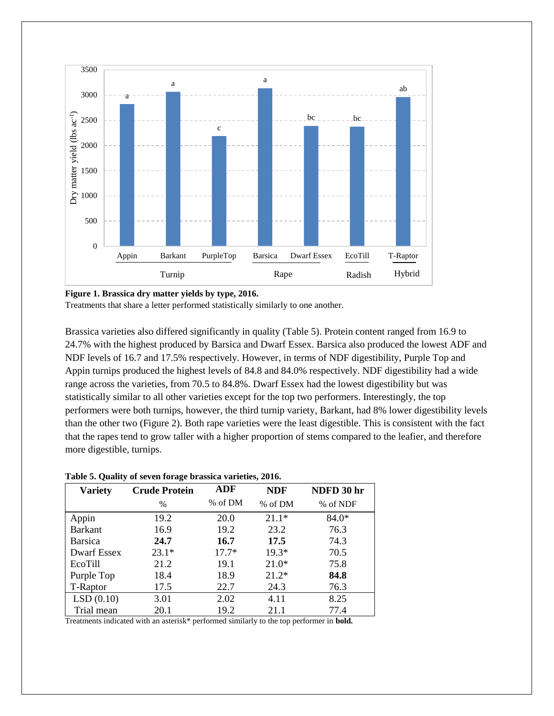

**Figure 1. Brassica dry matter yields by type, 2016.**

Treatments that share a letter performed statistically similarly to one another.

Brassica varieties also differed significantly in quality (Table 5). Protein content ranged from 16.9 to 24.7% with the highest produced by Barsica and Dwarf Essex. Barsica also produced the lowest ADF and NDF levels of 16.7 and 17.5% respectively. However, in terms of NDF digestibility, Purple Top and Appin turnips produced the highest levels of 84.8 and 84.0% respectively. NDF digestibility had a wide range across the varieties, from 70.5 to 84.8%. Dwarf Essex had the lowest digestibility but was statistically similar to all other varieties except for the top two performers. Interestingly, the top performers were both turnips, however, the third turnip variety, Barkant, had 8% lower digestibility levels than the other two (Figure 2). Both rape varieties were the least digestible. This is consistent with the fact that the rapes tend to grow taller with a higher proportion of stems compared to the leafier, and therefore more digestible, turnips.

| <b>Variety</b>     | <b>Crude Protein</b> | ADF     | <b>NDF</b> | NDFD 30 hr |
|--------------------|----------------------|---------|------------|------------|
|                    | $\frac{0}{0}$        | % of DM | % of DM    | % of NDF   |
| Appin              | 19.2                 | 20.0    | $21.1*$    | $84.0*$    |
| <b>Barkant</b>     | 16.9                 | 19.2    | 23.2       | 76.3       |
| <b>Barsica</b>     | 24.7                 | 16.7    | 17.5       | 74.3       |
| <b>Dwarf Essex</b> | $23.1*$              | $17.7*$ | $19.3*$    | 70.5       |
| EcoTill            | 21.2                 | 19.1    | $21.0*$    | 75.8       |
| Purple Top         | 18.4                 | 18.9    | $21.2*$    | 84.8       |
| T-Raptor           | 17.5                 | 22.7    | 24.3       | 76.3       |
| LSD(0.10)          | 3.01                 | 2.02    | 4.11       | 8.25       |
| Trial mean         | 20.1                 | 19.2    | 21.1       | 77.4       |

#### **Table 5. Quality of seven forage brassica varieties, 2016.**

Treatments indicated with an asterisk\* performed similarly to the top performer in **bold.**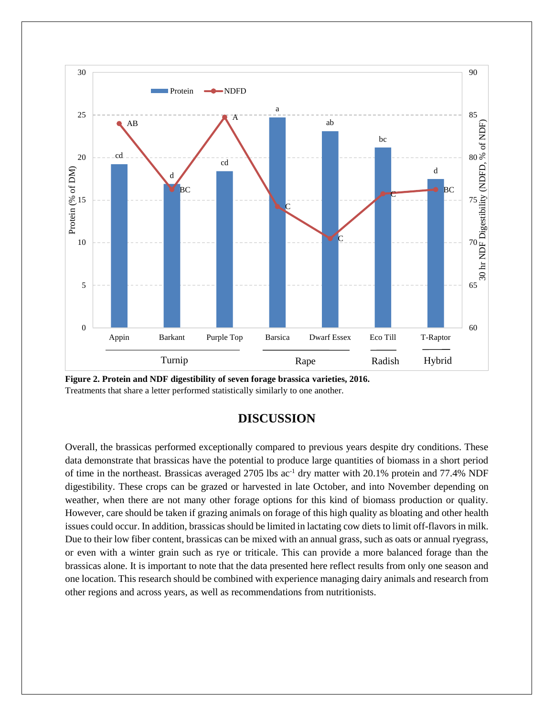



# **DISCUSSION**

Overall, the brassicas performed exceptionally compared to previous years despite dry conditions. These data demonstrate that brassicas have the potential to produce large quantities of biomass in a short period of time in the northeast. Brassicas averaged 2705 lbs  $ac^{-1}$  dry matter with 20.1% protein and 77.4% NDF digestibility. These crops can be grazed or harvested in late October, and into November depending on weather, when there are not many other forage options for this kind of biomass production or quality. However, care should be taken if grazing animals on forage of this high quality as bloating and other health issues could occur. In addition, brassicas should be limited in lactating cow diets to limit off-flavors in milk. Due to their low fiber content, brassicas can be mixed with an annual grass, such as oats or annual ryegrass, or even with a winter grain such as rye or triticale. This can provide a more balanced forage than the brassicas alone. It is important to note that the data presented here reflect results from only one season and one location. This research should be combined with experience managing dairy animals and research from other regions and across years, as well as recommendations from nutritionists.